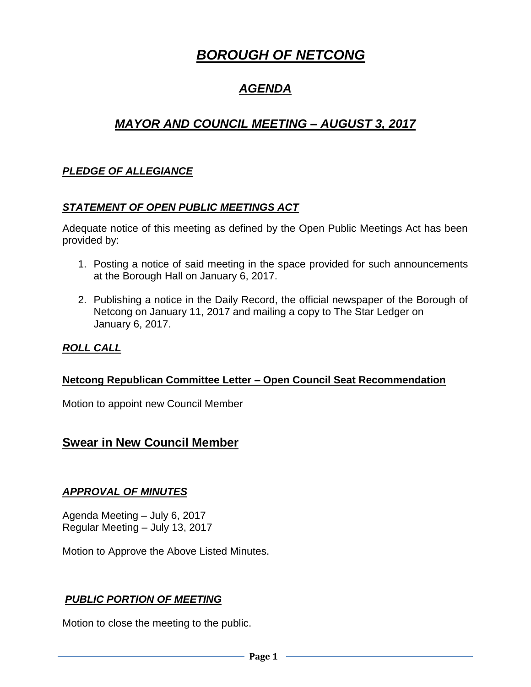# *BOROUGH OF NETCONG*

## *AGENDA*

## *MAYOR AND COUNCIL MEETING – AUGUST 3, 2017*

## *PLEDGE OF ALLEGIANCE*

#### *STATEMENT OF OPEN PUBLIC MEETINGS ACT*

Adequate notice of this meeting as defined by the Open Public Meetings Act has been provided by:

- 1. Posting a notice of said meeting in the space provided for such announcements at the Borough Hall on January 6, 2017.
- 2. Publishing a notice in the Daily Record, the official newspaper of the Borough of Netcong on January 11, 2017 and mailing a copy to The Star Ledger on January 6, 2017.

## *ROLL CALL*

#### **Netcong Republican Committee Letter – Open Council Seat Recommendation**

Motion to appoint new Council Member

## **Swear in New Council Member**

#### *APPROVAL OF MINUTES*

Agenda Meeting – July 6, 2017 Regular Meeting – July 13, 2017

Motion to Approve the Above Listed Minutes.

#### *PUBLIC PORTION OF MEETING*

Motion to close the meeting to the public.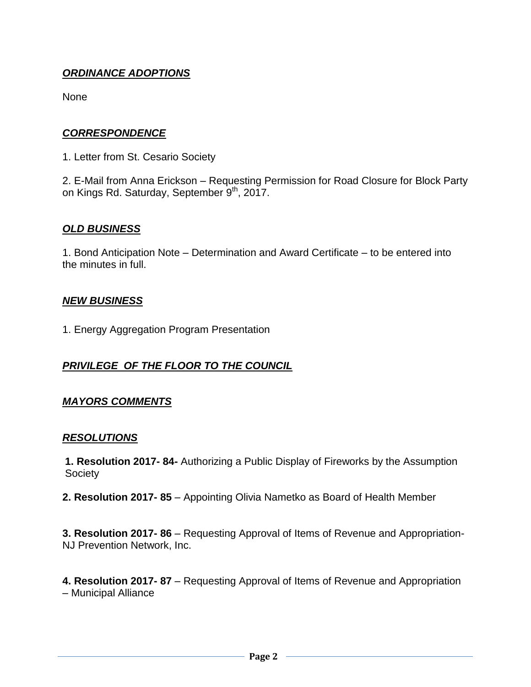## *ORDINANCE ADOPTIONS*

None

#### *CORRESPONDENCE*

1. Letter from St. Cesario Society

2. E-Mail from Anna Erickson – Requesting Permission for Road Closure for Block Party on Kings Rd. Saturday, September 9<sup>th</sup>, 2017.

#### *OLD BUSINESS*

1. Bond Anticipation Note – Determination and Award Certificate – to be entered into the minutes in full.

#### *NEW BUSINESS*

1. Energy Aggregation Program Presentation

#### *PRIVILEGE OF THE FLOOR TO THE COUNCIL*

#### *MAYORS COMMENTS*

#### *RESOLUTIONS*

**1. Resolution 2017- 84-** Authorizing a Public Display of Fireworks by the Assumption Society

**2. Resolution 2017- 85** – Appointing Olivia Nametko as Board of Health Member

**3. Resolution 2017- 86** – Requesting Approval of Items of Revenue and Appropriation-NJ Prevention Network, Inc.

**4. Resolution 2017- 87** – Requesting Approval of Items of Revenue and Appropriation – Municipal Alliance